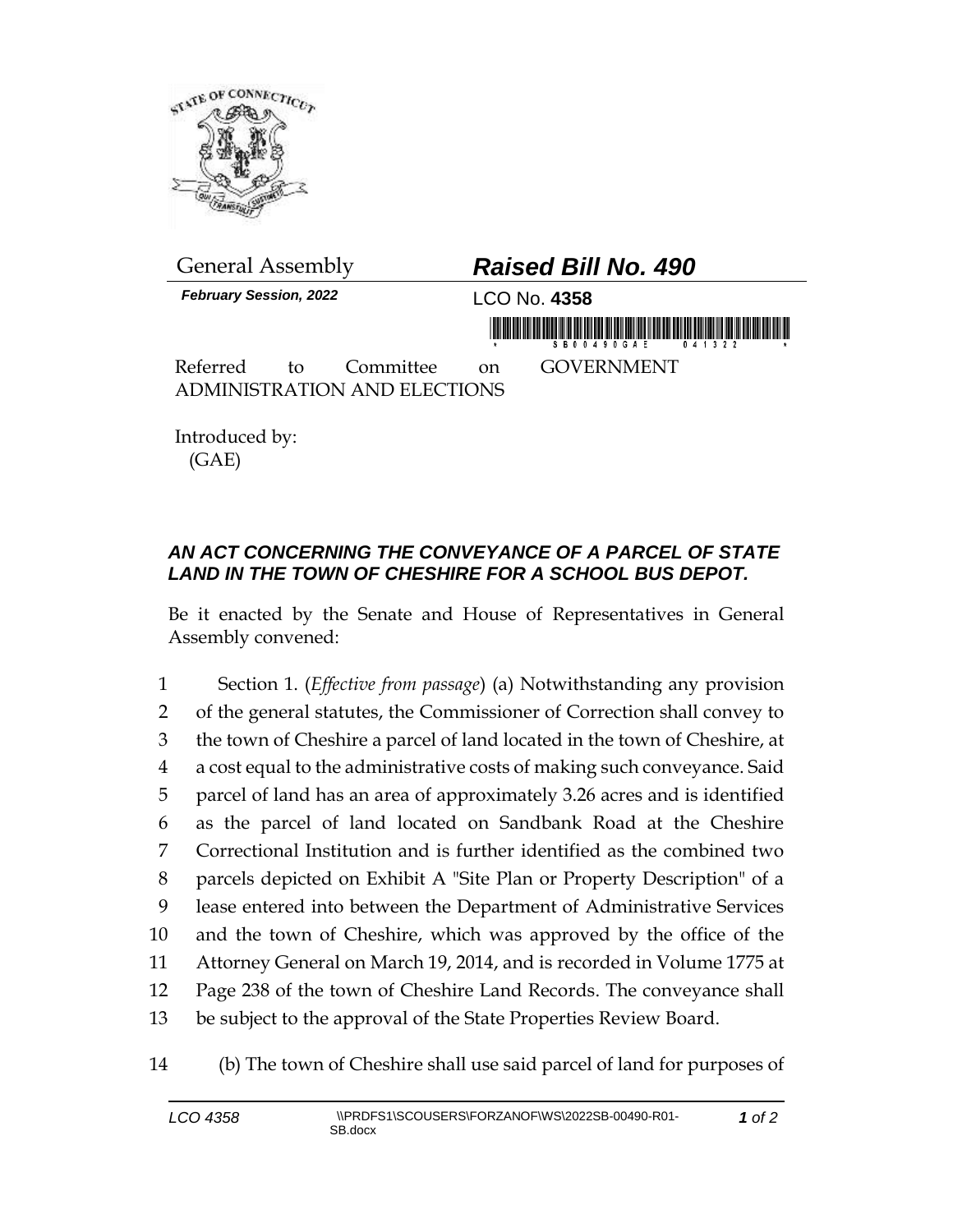

*February Session, 2022* LCO No. **4358**

## General Assembly *Raised Bill No. 490*

in monday is a bigger of the consideration of the second contract in the contract of the contract of the contract of

Referred to Committee on GOVERNMENT ADMINISTRATION AND ELECTIONS

Introduced by: (GAE)

## *AN ACT CONCERNING THE CONVEYANCE OF A PARCEL OF STATE LAND IN THE TOWN OF CHESHIRE FOR A SCHOOL BUS DEPOT.*

Be it enacted by the Senate and House of Representatives in General Assembly convened:

 Section 1. (*Effective from passage*) (a) Notwithstanding any provision of the general statutes, the Commissioner of Correction shall convey to the town of Cheshire a parcel of land located in the town of Cheshire, at a cost equal to the administrative costs of making such conveyance. Said parcel of land has an area of approximately 3.26 acres and is identified as the parcel of land located on Sandbank Road at the Cheshire Correctional Institution and is further identified as the combined two parcels depicted on Exhibit A "Site Plan or Property Description" of a lease entered into between the Department of Administrative Services and the town of Cheshire, which was approved by the office of the Attorney General on March 19, 2014, and is recorded in Volume 1775 at Page 238 of the town of Cheshire Land Records. The conveyance shall be subject to the approval of the State Properties Review Board.

## 14 (b) The town of Cheshire shall use said parcel of land for purposes of